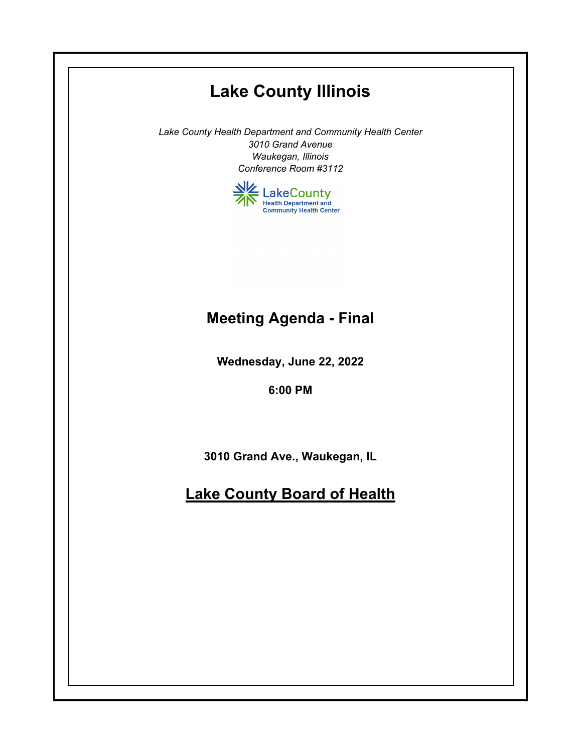# **Lake County Illinois**

*Lake County Health Department and Community Health Center 3010 Grand Avenue Waukegan, Illinois Conference Room #3112*



# **Meeting Agenda - Final**

**Wednesday, June 22, 2022**

**6:00 PM**

**3010 Grand Ave., Waukegan, IL**

# **Lake County Board of Health**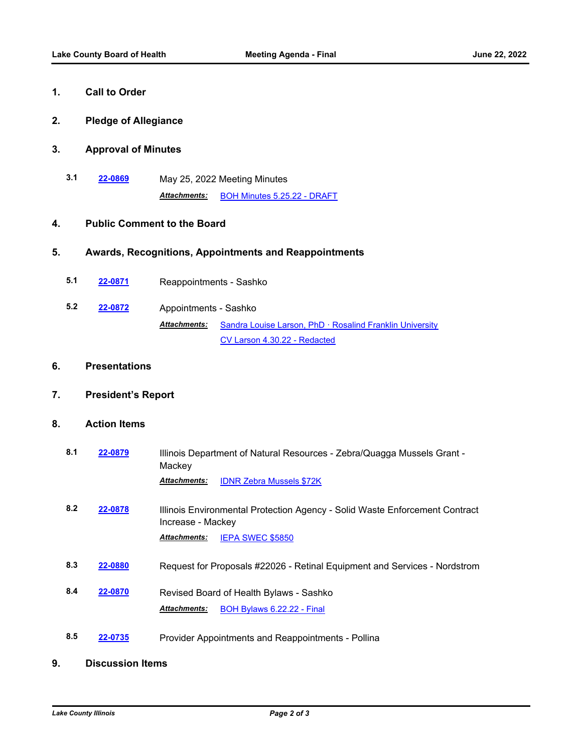## **1. Call to Order**

**2. Pledge of Allegiance**

#### **3. Approval of Minutes**

**3.1 [22-0869](http://lakecounty.legistar.com/gateway.aspx?m=l&id=/matter.aspx?key=26655)** May 25, 2022 Meeting Minutes *Attachments:* [BOH Minutes 5.25.22 - DRAFT](http://lakecounty.legistar.com/gateway.aspx?M=F&ID=e5dd432b-763b-42a3-ab66-165603572bd5.pdf)

#### **4. Public Comment to the Board**

#### **5. Awards, Recognitions, Appointments and Reappointments**

- **5.1 [22-0871](http://lakecounty.legistar.com/gateway.aspx?m=l&id=/matter.aspx?key=26657)** Reappointments Sashko
- **5.2 [22-0872](http://lakecounty.legistar.com/gateway.aspx?m=l&id=/matter.aspx?key=26658)** Appointments Sashko Attachments: [Sandra Louise Larson, PhD · Rosalind Franklin University](http://lakecounty.legistar.com/gateway.aspx?M=F&ID=6b78fe28-ac7a-4725-81bb-36de296d746e.pdf) [CV Larson 4.30.22 - Redacted](http://lakecounty.legistar.com/gateway.aspx?M=F&ID=c51979ad-b872-41a0-985c-51d2195fea66.pdf)

#### **6. Presentations**

**7. President's Report**

### **8. Action Items**

- **8.1 [22-0879](http://lakecounty.legistar.com/gateway.aspx?m=l&id=/matter.aspx?key=26665)** Illinois Department of Natural Resources Zebra/Quagga Mussels Grant Mackey *Attachments:* [IDNR Zebra Mussels \\$72K](http://lakecounty.legistar.com/gateway.aspx?M=F&ID=9a2e0473-1d2b-4fef-8406-5afdac854f6e.pdf)
- **8.2 [22-0878](http://lakecounty.legistar.com/gateway.aspx?m=l&id=/matter.aspx?key=26664)** Illinois Environmental Protection Agency Solid Waste Enforcement Contract Increase - Mackey *Attachments:* [IEPA SWEC \\$5850](http://lakecounty.legistar.com/gateway.aspx?M=F&ID=006d45e1-797b-4a2e-a8c1-17f15a145608.pdf)
- **8.3 [22-0880](http://lakecounty.legistar.com/gateway.aspx?m=l&id=/matter.aspx?key=26666)** Request for Proposals #22026 Retinal Equipment and Services Nordstrom
- **8.4 [22-0870](http://lakecounty.legistar.com/gateway.aspx?m=l&id=/matter.aspx?key=26656)** Revised Board of Health Bylaws Sashko *Attachments:* [BOH Bylaws 6.22.22 - Final](http://lakecounty.legistar.com/gateway.aspx?M=F&ID=c4d446c9-61b9-4368-b9f5-1a812131d79e.pdf)
- **8.5 [22-0735](http://lakecounty.legistar.com/gateway.aspx?m=l&id=/matter.aspx?key=26522)** Provider Appointments and Reappointments Pollina

#### **9. Discussion Items**